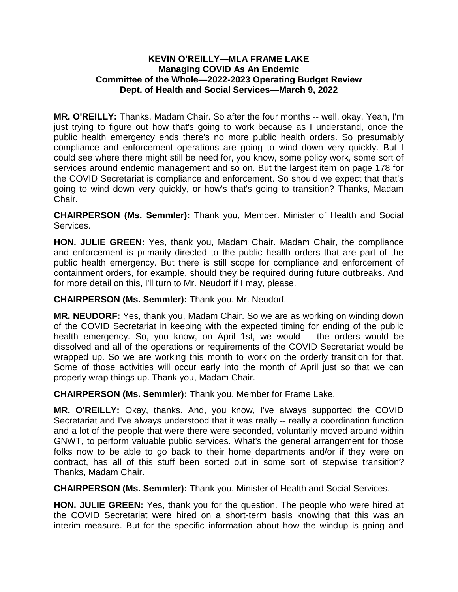## **KEVIN O'REILLY—MLA FRAME LAKE Managing COVID As An Endemic Committee of the Whole—2022-2023 Operating Budget Review Dept. of Health and Social Services—March 9, 2022**

**MR. O'REILLY:** Thanks, Madam Chair. So after the four months -- well, okay. Yeah, I'm just trying to figure out how that's going to work because as I understand, once the public health emergency ends there's no more public health orders. So presumably compliance and enforcement operations are going to wind down very quickly. But I could see where there might still be need for, you know, some policy work, some sort of services around endemic management and so on. But the largest item on page 178 for the COVID Secretariat is compliance and enforcement. So should we expect that that's going to wind down very quickly, or how's that's going to transition? Thanks, Madam Chair.

**CHAIRPERSON (Ms. Semmler):** Thank you, Member. Minister of Health and Social Services.

**HON. JULIE GREEN:** Yes, thank you, Madam Chair. Madam Chair, the compliance and enforcement is primarily directed to the public health orders that are part of the public health emergency. But there is still scope for compliance and enforcement of containment orders, for example, should they be required during future outbreaks. And for more detail on this, I'll turn to Mr. Neudorf if I may, please.

**CHAIRPERSON (Ms. Semmler):** Thank you. Mr. Neudorf.

**MR. NEUDORF:** Yes, thank you, Madam Chair. So we are as working on winding down of the COVID Secretariat in keeping with the expected timing for ending of the public health emergency. So, you know, on April 1st, we would -- the orders would be dissolved and all of the operations or requirements of the COVID Secretariat would be wrapped up. So we are working this month to work on the orderly transition for that. Some of those activities will occur early into the month of April just so that we can properly wrap things up. Thank you, Madam Chair.

**CHAIRPERSON (Ms. Semmler):** Thank you. Member for Frame Lake.

**MR. O'REILLY:** Okay, thanks. And, you know, I've always supported the COVID Secretariat and I've always understood that it was really -- really a coordination function and a lot of the people that were there were seconded, voluntarily moved around within GNWT, to perform valuable public services. What's the general arrangement for those folks now to be able to go back to their home departments and/or if they were on contract, has all of this stuff been sorted out in some sort of stepwise transition? Thanks, Madam Chair.

**CHAIRPERSON (Ms. Semmler):** Thank you. Minister of Health and Social Services.

**HON. JULIE GREEN:** Yes, thank you for the question. The people who were hired at the COVID Secretariat were hired on a short-term basis knowing that this was an interim measure. But for the specific information about how the windup is going and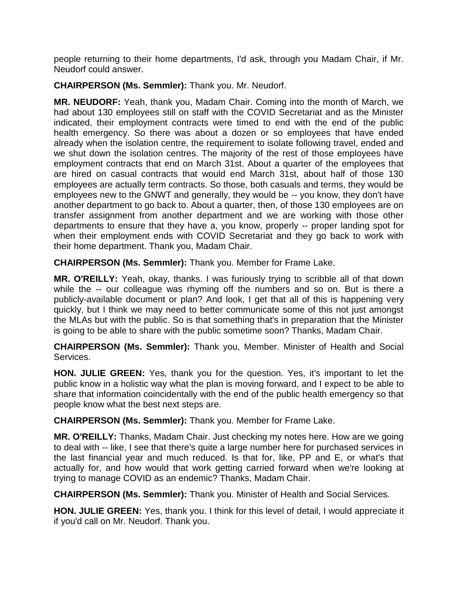people returning to their home departments, I'd ask, through you Madam Chair, if Mr. Neudorf could answer.

**CHAIRPERSON (Ms. Semmler):** Thank you. Mr. Neudorf.

**MR. NEUDORF:** Yeah, thank you, Madam Chair. Coming into the month of March, we had about 130 employees still on staff with the COVID Secretariat and as the Minister indicated, their employment contracts were timed to end with the end of the public health emergency. So there was about a dozen or so employees that have ended already when the isolation centre, the requirement to isolate following travel, ended and we shut down the isolation centres. The majority of the rest of those employees have employment contracts that end on March 31st. About a quarter of the employees that are hired on casual contracts that would end March 31st, about half of those 130 employees are actually term contracts. So those, both casuals and terms, they would be employees new to the GNWT and generally, they would be -- you know, they don't have another department to go back to. About a quarter, then, of those 130 employees are on transfer assignment from another department and we are working with those other departments to ensure that they have a, you know, properly -- proper landing spot for when their employment ends with COVID Secretariat and they go back to work with their home department. Thank you, Madam Chair.

**CHAIRPERSON (Ms. Semmler):** Thank you. Member for Frame Lake.

**MR. O'REILLY:** Yeah, okay, thanks. I was furiously trying to scribble all of that down while the -- our colleague was rhyming off the numbers and so on. But is there a publicly-available document or plan? And look, I get that all of this is happening very quickly, but I think we may need to better communicate some of this not just amongst the MLAs but with the public. So is that something that's in preparation that the Minister is going to be able to share with the public sometime soon? Thanks, Madam Chair.

**CHAIRPERSON (Ms. Semmler):** Thank you, Member. Minister of Health and Social Services.

**HON. JULIE GREEN:** Yes, thank you for the question. Yes, it's important to let the public know in a holistic way what the plan is moving forward, and I expect to be able to share that information coincidentally with the end of the public health emergency so that people know what the best next steps are.

**CHAIRPERSON (Ms. Semmler):** Thank you. Member for Frame Lake.

**MR. O'REILLY:** Thanks, Madam Chair. Just checking my notes here. How are we going to deal with -- like, I see that there's quite a large number here for purchased services in the last financial year and much reduced. Is that for, like, PP and E, or what's that actually for, and how would that work getting carried forward when we're looking at trying to manage COVID as an endemic? Thanks, Madam Chair.

**CHAIRPERSON (Ms. Semmler):** Thank you. Minister of Health and Social Services.

**HON. JULIE GREEN:** Yes, thank you. I think for this level of detail, I would appreciate it if you'd call on Mr. Neudorf. Thank you.